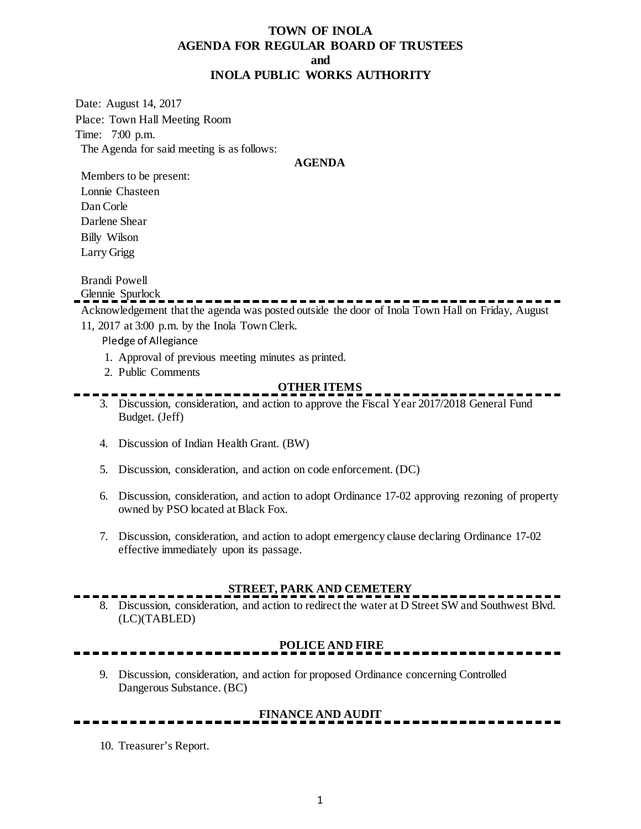## **TOWN OF INOLA AGENDA FOR REGULAR BOARD OF TRUSTEES and INOLA PUBLIC WORKS AUTHORITY**

Date: August 14, 2017 Place: Town Hall Meeting Room Time: 7:00 p.m. The Agenda for said meeting is as follows:

#### **AGENDA**

Members to be present: Lonnie Chasteen Dan Corle Darlene Shear Billy Wilson

Larry Grigg

Brandi Powell

Glennie Spurlock

Acknowledgement that the agenda was posted outside the door of Inola Town Hall on Friday, August

- 11, 2017 at 3:00 p.m. by the Inola Town Clerk.
	- Pledge of Allegiance
		- 1. Approval of previous meeting minutes as printed.
		- 2. Public Comments

## **OTHER ITEMS**

- 3. Discussion, consideration, and action to approve the Fiscal Year 2017/2018 General Fund Budget. (Jeff)
- 4. Discussion of Indian Health Grant. (BW)
- 5. Discussion, consideration, and action on code enforcement. (DC)
- 6. Discussion, consideration, and action to adopt Ordinance 17-02 approving rezoning of property owned by PSO located at Black Fox.
- 7. Discussion, consideration, and action to adopt emergency clause declaring Ordinance 17-02 effective immediately upon its passage.

### **STREET, PARK AND CEMETERY**

8. Discussion, consideration, and action to redirect the water at D Street SW and Southwest Blvd. (LC)(TABLED)

## **POLICE AND FIRE**

9. Discussion, consideration, and action for proposed Ordinance concerning Controlled Dangerous Substance. (BC)

# **FINANCE AND AUDIT**

10. Treasurer's Report.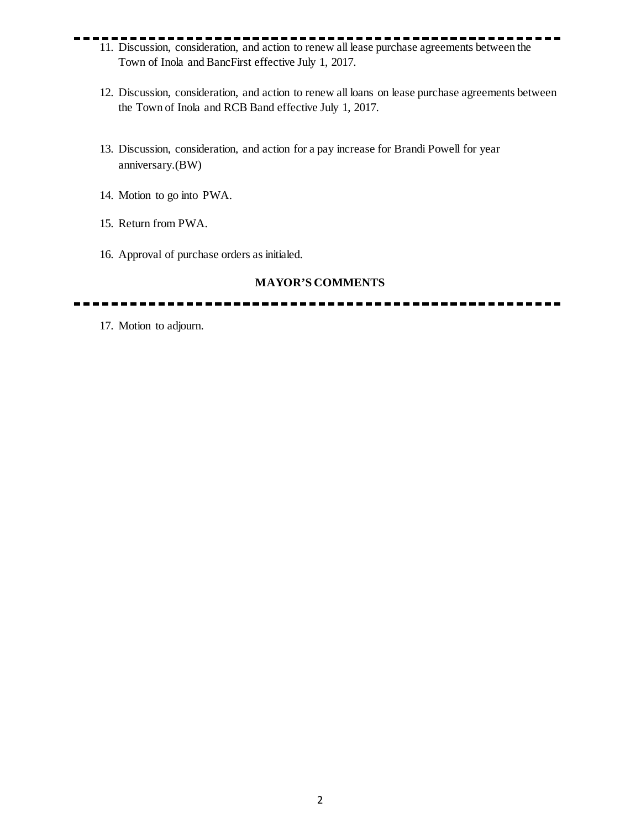- 11. Discussion, consideration, and action to renew all lease purchase agreements between the Town of Inola and BancFirst effective July 1, 2017.
	- 12. Discussion, consideration, and action to renew all loans on lease purchase agreements between the Town of Inola and RCB Band effective July 1, 2017.
	- 13. Discussion, consideration, and action for a pay increase for Brandi Powell for year anniversary.(BW)
	- 14. Motion to go into PWA.
	- 15. Return from PWA.
	- 16. Approval of purchase orders as initialed.

### **MAYOR'S COMMENTS**

17. Motion to adjourn.